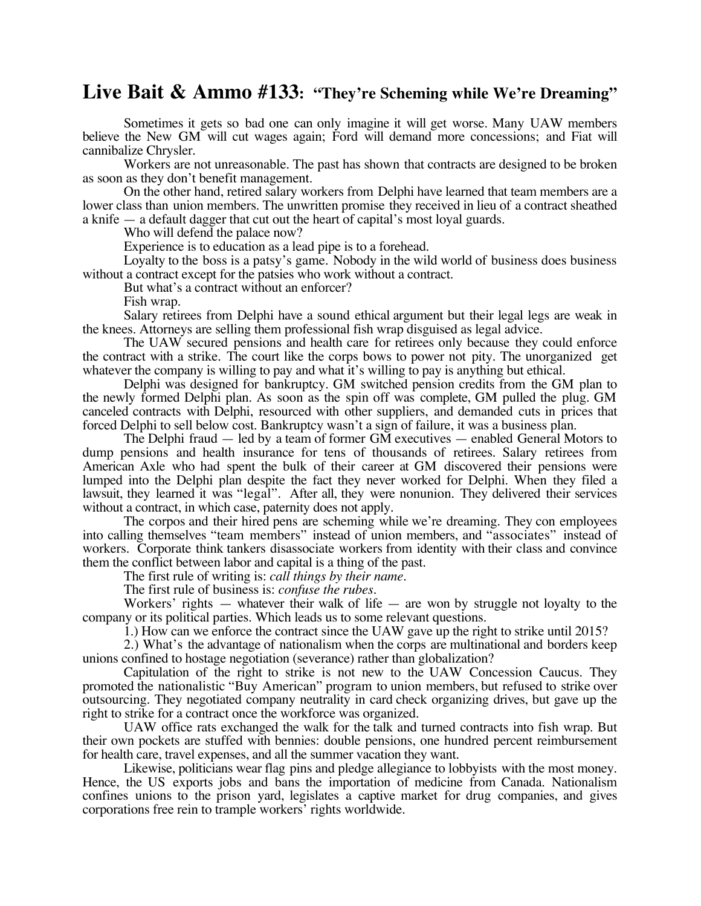## **Live Bait & Ammo #133: "They're Scheming while We're Dreaming"**

Sometimes it gets so bad one can only imagine it will get worse. Many UAW members believe the New GM will cut wages again; Ford will demand more concessions; and Fiat will cannibalize Chrysler.

Workers are not unreasonable. The past has shown that contracts are designed to be broken as soon as they don't benefit management.

On the other hand, retired salary workers from Delphi have learned that team members are a lower class than union members. The unwritten promise they received in lieu of a contract sheathed a knife — a default dagger that cut out the heart of capital's most loyal guards.

Who will defend the palace now?

Experience is to education as a lead pipe is to a forehead.

Loyalty to the boss is a patsy's game. Nobody in the wild world of business does business without a contract except for the patsies who work without a contract.

But what's a contract without an enforcer?

Fish wrap.

Salary retirees from Delphi have a sound ethical argument but their legal legs are weak in the knees. Attorneys are selling them professional fish wrap disguised as legal advice.

The UAW secured pensions and health care for retirees only because they could enforce the contract with a strike. The court like the corps bows to power not pity. The unorganized get whatever the company is willing to pay and what it's willing to pay is anything but ethical.

Delphi was designed for bankruptcy. GM switched pension credits from the GM plan to the newly formed Delphi plan. As soon as the spin off was complete, GM pulled the plug. GM canceled contracts with Delphi, resourced with other suppliers, and demanded cuts in prices that forced Delphi to sell below cost. Bankruptcy wasn't a sign of failure, it was a business plan.

The Delphi fraud — led by a team of former GM executives — enabled General Motors to dump pensions and health insurance for tens of thousands of retirees. Salary retirees from American Axle who had spent the bulk of their career at GM discovered their pensions were lumped into the Delphi plan despite the fact they never worked for Delphi. When they filed a lawsuit, they learned it was "legal". After all, they were nonunion. They delivered their services without a contract, in which case, paternity does not apply.

The corpos and their hired pens are scheming while we're dreaming. They con employees into calling themselves "team members" instead of union members, and "associates" instead of workers. Corporate think tankers disassociate workers from identity with their class and convince them the conflict between labor and capital is a thing of the past.

The first rule of writing is: *call things by their name.*

The first rule of business is: *confuse the rubes*. Workers' rights — whatever their walk of life — are won by struggle not loyalty to the company or its political parties. Which leads us to some relevant questions.

1.) How can we enforce the contract since the UAW gave up the right to strike until 2015?

2.) What's the advantage of nationalism when the corps are multinational and borders keep unions confined to hostage negotiation (severance) rather than globalization?

Capitulation of the right to strike is not new to the UAW Concession Caucus. They promoted the nationalistic "Buy American" program to union members, but refused to strike over outsourcing. They negotiated company neutrality in card check organizing drives, but gave up the right to strike for a contract once the workforce was organized.

UAW office rats exchanged the walk for the talk and turned contracts into fish wrap. But their own pockets are stuffed with bennies: double pensions, one hundred percent reimbursement for health care, travel expenses, and all the summer vacation they want.

Likewise, politicians wear flag pins and pledge allegiance to lobbyists with the most money. Hence, the US exports jobs and bans the importation of medicine from Canada. Nationalism confines unions to the prison yard, legislates a captive market for drug companies, and gives corporations free rein to trample workers' rights worldwide.